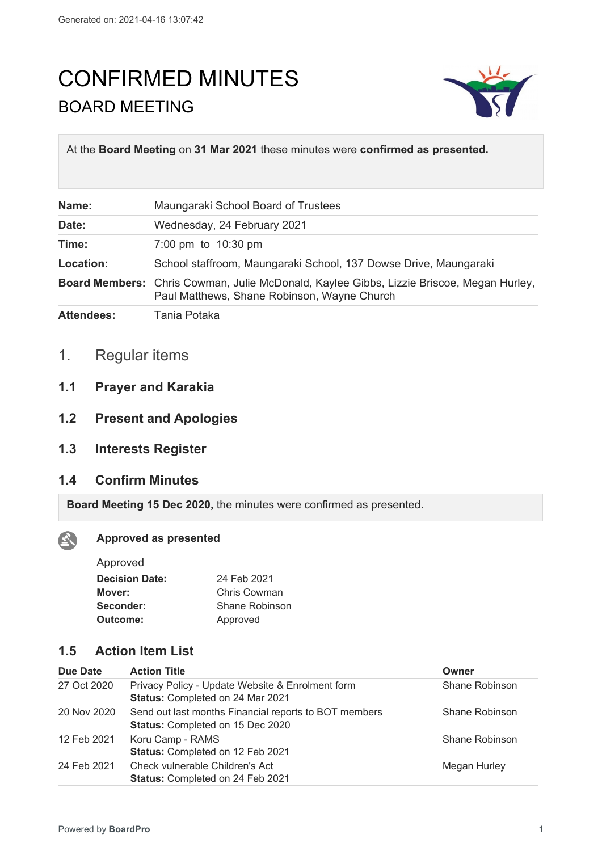# CONFIRMED MINUTES BOARD MEETING



At the **Board Meeting** on **31 Mar 2021** these minutes were **confirmed as presented.**

| Name:             | Maungaraki School Board of Trustees                                                                                                     |
|-------------------|-----------------------------------------------------------------------------------------------------------------------------------------|
| Date:             | Wednesday, 24 February 2021                                                                                                             |
| Time:             | 7:00 pm to 10:30 pm                                                                                                                     |
| Location:         | School staffroom, Maungaraki School, 137 Dowse Drive, Maungaraki                                                                        |
|                   | Board Members: Chris Cowman, Julie McDonald, Kaylee Gibbs, Lizzie Briscoe, Megan Hurley,<br>Paul Matthews, Shane Robinson, Wayne Church |
| <b>Attendees:</b> | Tania Potaka                                                                                                                            |

- 1. Regular items
- **1.1 Prayer and Karakia**
- **1.2 Present and Apologies**
- **1.3 Interests Register**
- **1.4 Confirm Minutes**

**Board Meeting 15 Dec 2020,** the minutes were confirmed as presented.

#### **Approved as presented**  $\mathbf{A}$

| Approved              |                |
|-----------------------|----------------|
| <b>Decision Date:</b> | 24 Feb 2021    |
| Mover:                | Chris Cowman   |
| Seconder:             | Shane Robinson |
| Outcome:              | Approved       |

## **1.5 Action Item List**

| Due Date    | <b>Action Title</b>                                                                       | Owner          |
|-------------|-------------------------------------------------------------------------------------------|----------------|
| 27 Oct 2020 | Privacy Policy - Update Website & Enrolment form<br>Status: Completed on 24 Mar 2021      | Shane Robinson |
| 20 Nov 2020 | Send out last months Financial reports to BOT members<br>Status: Completed on 15 Dec 2020 | Shane Robinson |
| 12 Feb 2021 | Koru Camp - RAMS<br>Status: Completed on 12 Feb 2021                                      | Shane Robinson |
| 24 Feb 2021 | Check vulnerable Children's Act<br>Status: Completed on 24 Feb 2021                       | Megan Hurley   |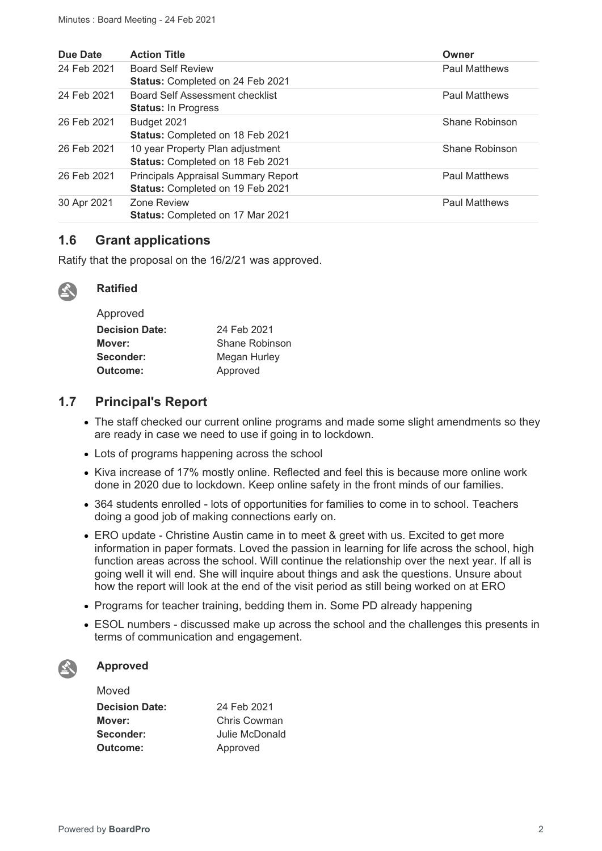| Due Date    | <b>Action Title</b>                                                            | Owner                |
|-------------|--------------------------------------------------------------------------------|----------------------|
| 24 Feb 2021 | <b>Board Self Review</b><br>Status: Completed on 24 Feb 2021                   | <b>Paul Matthews</b> |
| 24 Feb 2021 | Board Self Assessment checklist<br><b>Status: In Progress</b>                  | <b>Paul Matthews</b> |
| 26 Feb 2021 | Budget 2021<br>Status: Completed on 18 Feb 2021                                | Shane Robinson       |
| 26 Feb 2021 | 10 year Property Plan adjustment<br>Status: Completed on 18 Feb 2021           | Shane Robinson       |
| 26 Feb 2021 | <b>Principals Appraisal Summary Report</b><br>Status: Completed on 19 Feb 2021 | <b>Paul Matthews</b> |
| 30 Apr 2021 | Zone Review<br>Status: Completed on 17 Mar 2021                                | <b>Paul Matthews</b> |

## **1.6 Grant applications**

Ratify that the proposal on the 16/2/21 was approved.



#### **Ratified**

| Approved              |                |
|-----------------------|----------------|
| <b>Decision Date:</b> | 24 Feb 2021    |
| Mover:                | Shane Robinson |
| Seconder:             | Megan Hurley   |
| Outcome:              | Approved       |

## **1.7 Principal's Report**

- The staff checked our current online programs and made some slight amendments so they are ready in case we need to use if going in to lockdown.
- Lots of programs happening across the school
- Kiva increase of 17% mostly online. Reflected and feel this is because more online work done in 2020 due to lockdown. Keep online safety in the front minds of our families.
- 364 students enrolled lots of opportunities for families to come in to school. Teachers doing a good job of making connections early on.
- ERO update Christine Austin came in to meet & greet with us. Excited to get more information in paper formats. Loved the passion in learning for life across the school, high function areas across the school. Will continue the relationship over the next year. If all is going well it will end. She will inquire about things and ask the questions. Unsure about how the report will look at the end of the visit period as still being worked on at ERO
- Programs for teacher training, bedding them in. Some PD already happening
- ESOL numbers discussed make up across the school and the challenges this presents in terms of communication and engagement.

#### **Approved**

| Moved                 |                |
|-----------------------|----------------|
| <b>Decision Date:</b> | 24 Feb 2021    |
| Mover:                | Chris Cowman   |
| Seconder:             | Julie McDonald |
| Outcome:              | Approved       |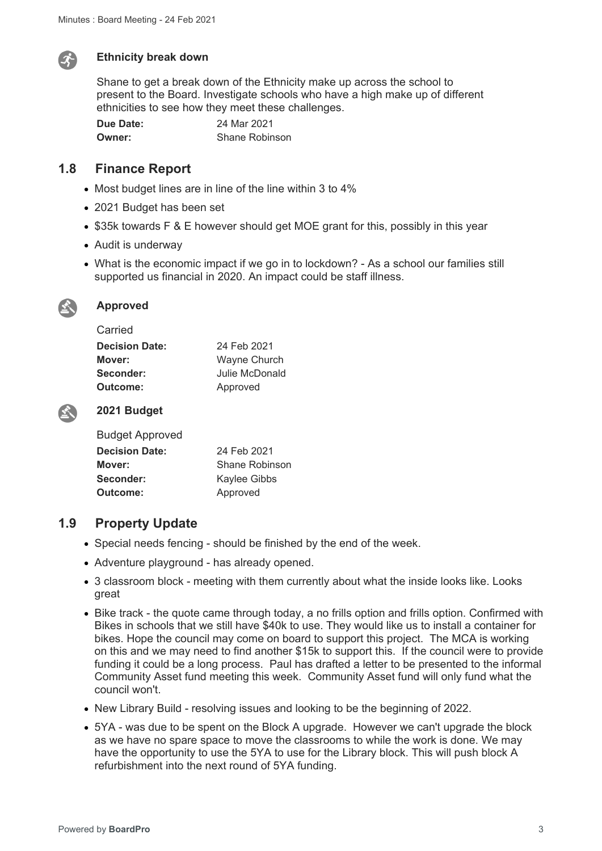

#### **Ethnicity break down**

Shane to get a break down of the Ethnicity make up across the school to present to the Board. Investigate schools who have a high make up of different ethnicities to see how they meet these challenges.

**Due Date:** 24 Mar 2021 **Owner:** Shane Robinson

## **1.8 Finance Report**

- Most budget lines are in line of the line within 3 to 4%
- 2021 Budget has been set
- \$35k towards F & E however should get MOE grant for this, possibly in this year
- Audit is underway
- What is the economic impact if we go in to lockdown? As a school our families still supported us financial in 2020. An impact could be staff illness.



#### **Approved**

Carried

| <u>van ivu</u>        |                |
|-----------------------|----------------|
| <b>Decision Date:</b> | 24 Feb 2021    |
| Mover:                | Wayne Church   |
| Seconder:             | Julie McDonald |
| Outcome:              | Approved       |
|                       |                |



#### **2021 Budget**

| <b>Budget Approved</b> |                |
|------------------------|----------------|
| <b>Decision Date:</b>  | 24 Feb 2021    |
| Mover:                 | Shane Robinson |
| Seconder:              | Kaylee Gibbs   |
| Outcome:               | Approved       |

### **1.9 Property Update**

- Special needs fencing should be finished by the end of the week.
- Adventure playground has already opened.
- 3 classroom block meeting with them currently about what the inside looks like. Looks great
- Bike track the quote came through today, a no frills option and frills option. Confirmed with Bikes in schools that we still have \$40k to use. They would like us to install a container for bikes. Hope the council may come on board to support this project. The MCA is working on this and we may need to find another \$15k to support this. If the council were to provide funding it could be a long process. Paul has drafted a letter to be presented to the informal Community Asset fund meeting this week. Community Asset fund will only fund what the council won't.
- New Library Build resolving issues and looking to be the beginning of 2022.
- 5YA was due to be spent on the Block A upgrade. However we can't upgrade the block as we have no spare space to move the classrooms to while the work is done. We may have the opportunity to use the 5YA to use for the Library block. This will push block A refurbishment into the next round of 5YA funding.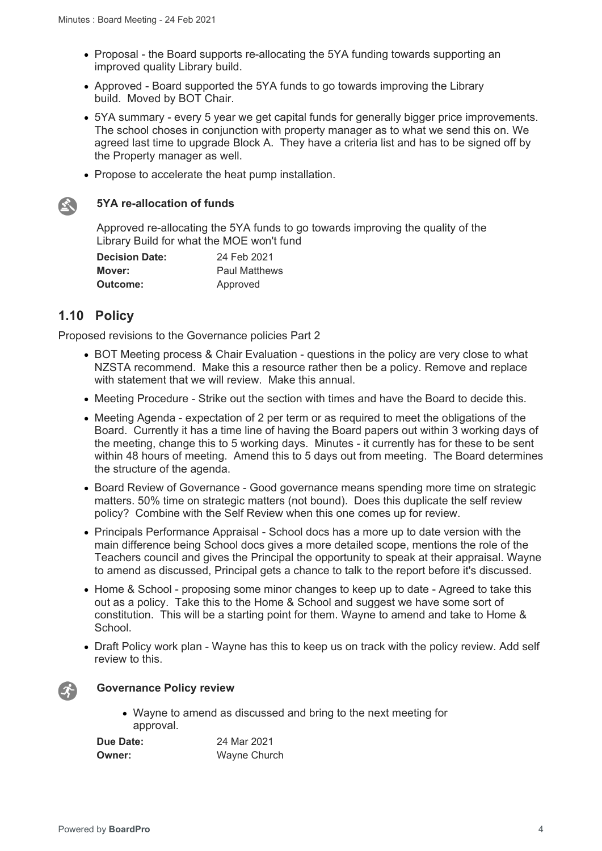- Proposal the Board supports re-allocating the 5YA funding towards supporting an improved quality Library build.
- Approved Board supported the 5YA funds to go towards improving the Library build. Moved by BOT Chair.
- 5YA summary every 5 year we get capital funds for generally bigger price improvements. The school choses in conjunction with property manager as to what we send this on. We agreed last time to upgrade Block A. They have a criteria list and has to be signed off by the Property manager as well.
- Propose to accelerate the heat pump installation.



#### **5YA re-allocation of funds**

Approved re-allocating the 5YA funds to go towards improving the quality of the Library Build for what the MOE won't fund

| <b>Decision Date:</b> | 24 Feb 2021          |
|-----------------------|----------------------|
| Mover:                | <b>Paul Matthews</b> |
| <b>Outcome:</b>       | Approved             |

## **1.10 Policy**

Proposed revisions to the Governance policies Part 2

- BOT Meeting process & Chair Evaluation questions in the policy are very close to what NZSTA recommend. Make this a resource rather then be a policy. Remove and replace with statement that we will review. Make this annual.
- Meeting Procedure Strike out the section with times and have the Board to decide this.
- Meeting Agenda expectation of 2 per term or as required to meet the obligations of the Board. Currently it has a time line of having the Board papers out within 3 working days of the meeting, change this to 5 working days. Minutes - it currently has for these to be sent within 48 hours of meeting. Amend this to 5 days out from meeting. The Board determines the structure of the agenda.
- Board Review of Governance Good governance means spending more time on strategic matters. 50% time on strategic matters (not bound). Does this duplicate the self review policy? Combine with the Self Review when this one comes up for review.
- Principals Performance Appraisal School docs has a more up to date version with the main difference being School docs gives a more detailed scope, mentions the role of the Teachers council and gives the Principal the opportunity to speak at their appraisal. Wayne to amend as discussed, Principal gets a chance to talk to the report before it's discussed.
- Home & School proposing some minor changes to keep up to date Agreed to take this out as a policy. Take this to the Home & School and suggest we have some sort of constitution. This will be a starting point for them. Wayne to amend and take to Home & School.
- Draft Policy work plan Wayne has this to keep us on track with the policy review. Add self review to this.



#### **Governance Policy review**

 Wayne to amend as discussed and bring to the next meeting for approval.

**Due Date:** 24 Mar 2021 **Owner:** Wayne Church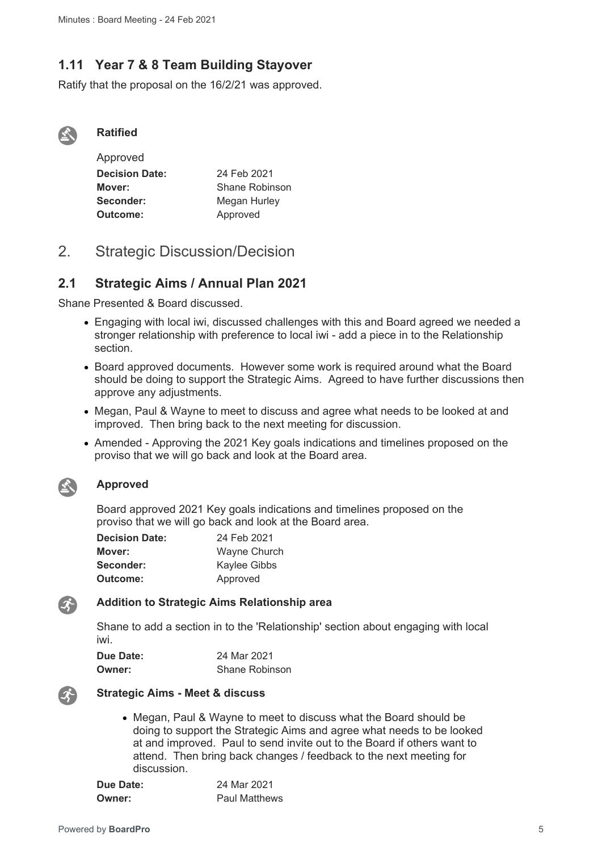## **1.11 Year 7 & 8 Team Building Stayover**

Ratify that the proposal on the 16/2/21 was approved.



#### **Ratified**

| Approved              |                |
|-----------------------|----------------|
| <b>Decision Date:</b> | 24 Feb 2021    |
| Mover:                | Shane Robinson |
| Seconder:             | Megan Hurley   |
| Outcome:              | Approved       |

## 2. Strategic Discussion/Decision

## **2.1 Strategic Aims / Annual Plan 2021**

Shane Presented & Board discussed.

- Engaging with local iwi, discussed challenges with this and Board agreed we needed a stronger relationship with preference to local iwi - add a piece in to the Relationship section.
- Board approved documents. However some work is required around what the Board should be doing to support the Strategic Aims. Agreed to have further discussions then approve any adjustments.
- Megan, Paul & Wayne to meet to discuss and agree what needs to be looked at and improved. Then bring back to the next meeting for discussion.
- Amended Approving the 2021 Key goals indications and timelines proposed on the proviso that we will go back and look at the Board area.



#### **Approved**

Board approved 2021 Key goals indications and timelines proposed on the proviso that we will go back and look at the Board area.

| <b>Decision Date:</b> | 24 Feb 2021         |
|-----------------------|---------------------|
| Mover:                | <b>Wayne Church</b> |
| Seconder:             | Kaylee Gibbs        |
| Outcome:              | Approved            |



#### **Addition to Strategic Aims Relationship area**

Shane to add a section in to the 'Relationship' section about engaging with local iwi.

| Due Date: | 24 Mar 2021           |
|-----------|-----------------------|
| Owner:    | <b>Shane Robinson</b> |



#### **Strategic Aims - Meet & discuss**

 Megan, Paul & Wayne to meet to discuss what the Board should be doing to support the Strategic Aims and agree what needs to be looked at and improved. Paul to send invite out to the Board if others want to attend. Then bring back changes / feedback to the next meeting for discussion.

| Due Date: | 24 Mar 2021          |
|-----------|----------------------|
| Owner:    | <b>Paul Matthews</b> |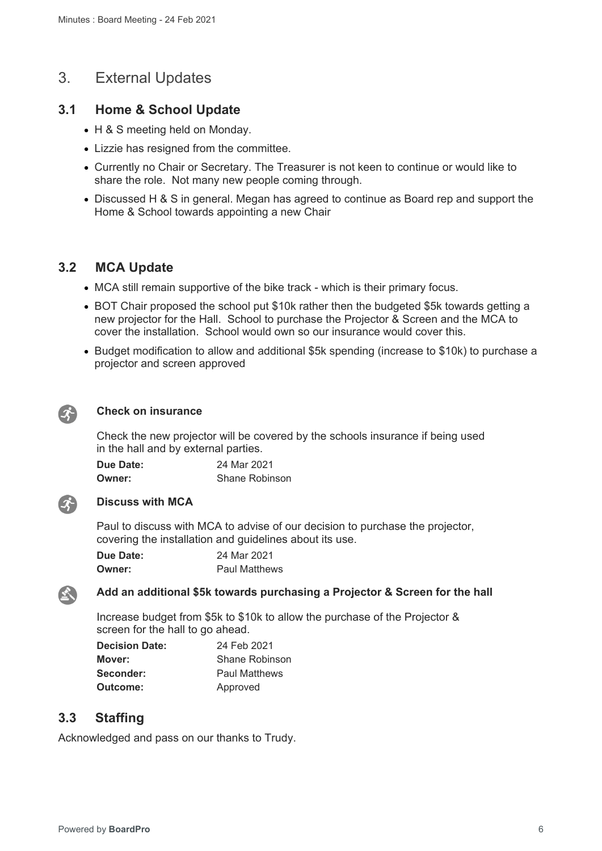## 3. External Updates

## **3.1 Home & School Update**

- H & S meeting held on Monday.
- Lizzie has resigned from the committee.
- Currently no Chair or Secretary. The Treasurer is not keen to continue or would like to share the role. Not many new people coming through.
- Discussed H & S in general. Megan has agreed to continue as Board rep and support the Home & School towards appointing a new Chair

## **3.2 MCA Update**

- MCA still remain supportive of the bike track which is their primary focus.
- BOT Chair proposed the school put \$10k rather then the budgeted \$5k towards getting a new projector for the Hall. School to purchase the Projector & Screen and the MCA to cover the installation. School would own so our insurance would cover this.
- Budget modification to allow and additional \$5k spending (increase to \$10k) to purchase a projector and screen approved



#### **Check on insurance**

Check the new projector will be covered by the schools insurance if being used in the hall and by external parties.

| Due Date: | 24 Mar 2021           |
|-----------|-----------------------|
| Owner:    | <b>Shane Robinson</b> |



#### **Discuss with MCA**

Paul to discuss with MCA to advise of our decision to purchase the projector, covering the installation and guidelines about its use.

| Due Date: | 24 Mar 2021          |
|-----------|----------------------|
| Owner:    | <b>Paul Matthews</b> |



#### **Add an additional \$5k towards purchasing a Projector & Screen for the hall**

Increase budget from \$5k to \$10k to allow the purchase of the Projector & screen for the hall to go ahead.

| <b>Decision Date:</b> | 24 Feb 2021          |
|-----------------------|----------------------|
| Mover:                | Shane Robinson       |
| Seconder:             | <b>Paul Matthews</b> |
| Outcome:              | Approved             |

### **3.3 Staffing**

Acknowledged and pass on our thanks to Trudy.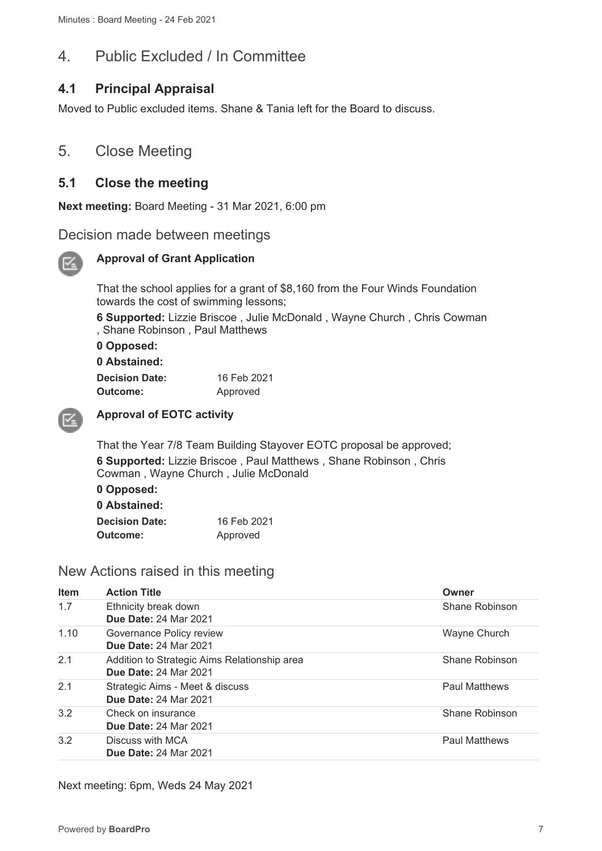## 4. Public Excluded / In Committee

## **4.1 Principal Appraisal**

Moved to Public excluded items. Shane & Tania left for the Board to discuss.

## 5. Close Meeting

## **5.1 Close the meeting**

**Next meeting:** Board Meeting - 31 Mar 2021, 6:00 pm

## Decision made between meetings



#### **Approval of Grant Application**

That the school applies for a grant of \$8,160 from the Four Winds Foundation towards the cost of swimming lessons;

**6 Supported:** Lizzie Briscoe , Julie McDonald , Wayne Church , Chris Cowman , Shane Robinson , Paul Matthews

**0 Opposed: 0 Abstained:** 

| 0 Abstained:          |             |
|-----------------------|-------------|
| <b>Decision Date:</b> | 16 Feb 2021 |
| Outcome:              | Approved    |



### **Approval of EOTC activity**

That the Year 7/8 Team Building Stayover EOTC proposal be approved; **6 Supported:** Lizzie Briscoe , Paul Matthews , Shane Robinson , Chris Cowman , Wayne Church , Julie McDonald

**0 Opposed:** 

| 0 Abstained:          |             |
|-----------------------|-------------|
| <b>Decision Date:</b> | 16 Feb 2021 |
| Outcome:              | Approved    |

## New Actions raised in this meeting

| <b>Item</b> | <b>Action Title</b>                                                          | Owner                |
|-------------|------------------------------------------------------------------------------|----------------------|
| 1.7         | Ethnicity break down<br><b>Due Date: 24 Mar 2021</b>                         | Shane Robinson       |
| 1.10        | Governance Policy review<br><b>Due Date: 24 Mar 2021</b>                     | Wayne Church         |
| 2.1         | Addition to Strategic Aims Relationship area<br><b>Due Date: 24 Mar 2021</b> | Shane Robinson       |
| 2.1         | Strategic Aims - Meet & discuss<br><b>Due Date: 24 Mar 2021</b>              | <b>Paul Matthews</b> |
| 3.2         | Check on insurance<br><b>Due Date: 24 Mar 2021</b>                           | Shane Robinson       |
| 3.2         | Discuss with MCA<br><b>Due Date: 24 Mar 2021</b>                             | <b>Paul Matthews</b> |

Next meeting: 6pm, Weds 24 May 2021